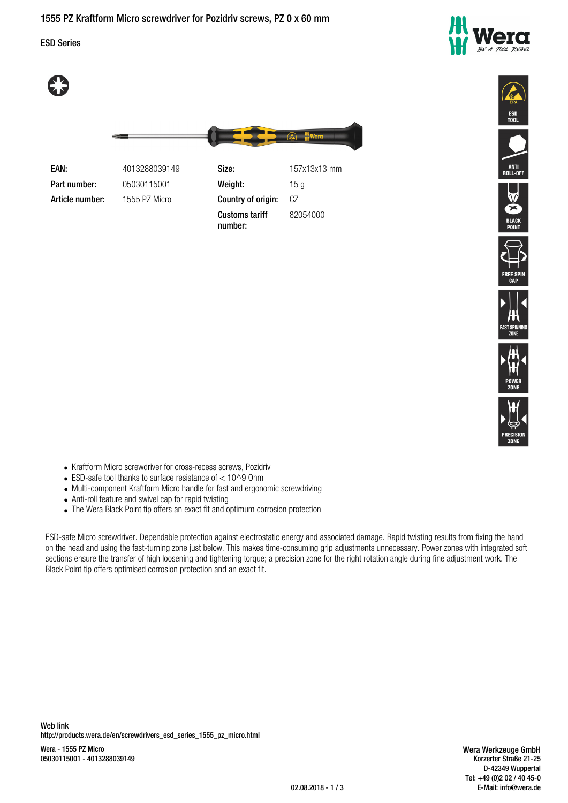ESD Series







| EAN:            | 4013288039149 | Size:                            | 157x13x13 mm |
|-----------------|---------------|----------------------------------|--------------|
| Part number:    | 05030115001   | Weight:                          | 15 a         |
| Article number: | 1555 PZ Micro | Country of origin:               | CZ           |
|                 |               | <b>Customs tariff</b><br>number: | 82054000     |















- Kraftform Micro screwdriver for cross-recess screws, Pozidriv
- $\bullet$  ESD-safe tool thanks to surface resistance of  $< 10^{\circ}$ 9 Ohm
- Multi-component Kraftform Micro handle for fast and ergonomic screwdriving
- Anti-roll feature and swivel cap for rapid twisting
- The Wera Black Point tip offers an exact fit and optimum corrosion protection

ESD-safe Micro screwdriver. Dependable protection against electrostatic energy and associated damage. Rapid twisting results from fixing the hand on the head and using the fast-turning zone just below. This makes time-consuming grip adjustments unnecessary. Power zones with integrated soft sections ensure the transfer of high loosening and tightening torque; a precision zone for the right rotation angle during fine adjustment work. The Black Point tip offers optimised corrosion protection and an exact fit.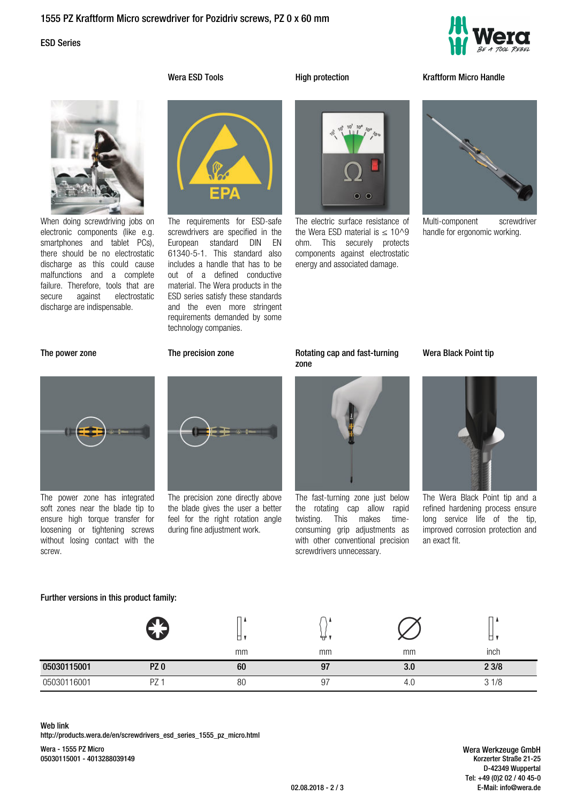# ESD Series



When doing screwdriving jobs on electronic components (like e.g. smartphones and tablet PCs), there should be no electrostatic discharge as this could cause malfunctions and a complete failure. Therefore, tools that are secure against electrostatic discharge are indispensable.



The electric surface resistance of the Wera ESD material is  $\leq 10^0$ ohm. This securely protects components against electrostatic energy and associated damage.

### **Wera ESD Tools High protection Kraftform Micro Handle**



Multi-component screwdriver handle for ergonomic working.



The power zone has integrated soft zones near the blade tip to ensure high torque transfer for loosening or tightening screws without losing contact with the screw.

**Further versions in this product family:**

### **The power zone The precision zone Rotating cap and fast-turning**

technology companies.



The requirements for ESD-safe screwdrivers are specified in the European standard DIN EN 61340-5-1. This standard also includes a handle that has to be out of a defined conductive material. The Wera products in the ESD series satisfy these standards and the even more stringent requirements demanded by some

The precision zone directly above the blade gives the user a better feel for the right rotation angle during fine adjustment work.



The fast-turning zone just below the rotating cap allow rapid twisting. This makes timeconsuming grip adjustments as with other conventional precision screwdrivers unnecessary.

### **Wera Black Point tip**



The Wera Black Point tip and a refined hardening process ensure long service life of the tip, improved corrosion protection and an exact fit.

|             | z<br>$\overline{\phantom{a}}$ | α, | ₩  |     | ◡    |
|-------------|-------------------------------|----|----|-----|------|
|             |                               | mm | mm | mm  | inch |
| 05030115001 | PZ <sub>0</sub>               | 60 | 97 | 3.0 | 23/8 |
| 05030116001 | PZ                            | 80 | 97 | 4.U | 31/8 |

## **Web link**

http://products.wera.de/en/screwdrivers\_esd\_series\_1555\_pz\_micro.html

Wera - 1555 PZ Micro 05030115001 - 4013288039149

**Wera Werkzeuge GmbH** Korzerter Straße 21-25 D-42349 Wuppertal Tel: +49 (0)2 02 / 40 45-0 02.08.2018 - 2 / 3 E-Mail: info@wera.de